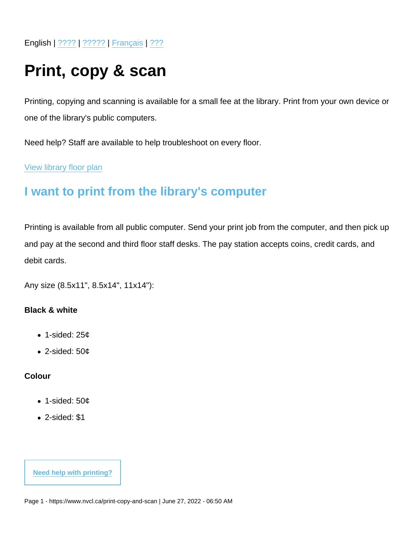English | [????](https://www.nvcl.ca/print-copy-and-scan-chinese) | [?????](https://www.nvcl.ca/print-copy-and-scan-farsi) | [Français](https://www.nvcl.ca/print-copy-and-scan-french) | [???](https://www.nvcl.ca/print-copy-and-scan-korean)

# Print, copy & scan

Printing, copying and scanning is available for a small fee at the library. Print from your own device or one of the library's public computers.

Need help? Staff are available to help troubleshoot on every floor.

[View library floor plan](https://www.nvcl.ca/sites/default/files/2022-05/NorthVancouverCityLibrary-Floorplan.pdf)

# I want to print from the library's computer

Printing is available from all public computer. Send your print job from the computer, and then pick up and pay at the second and third floor staff desks. The pay station accepts coins, credit cards, and debit cards.

Any size (8.5x11", 8.5x14", 11x14"):

Black & white

- 1-sided:  $25¢$
- $\bullet$  2-sided: 50 $\mathfrak c$

Colour

- 1-sided: 50¢
- 2-sided: \$1

[Need help with printing?](https://my.nicheacademy.com/nvcl/course/9591/lesson/29807)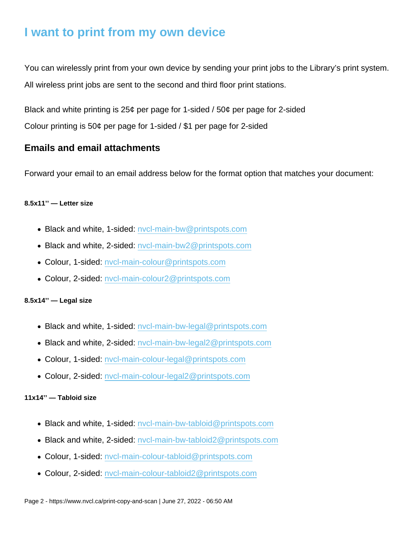# I want to print from my own device

You can wirelessly print from your own device by sending your print jobs to the Library's print system. All wireless print jobs are sent to the second and third floor print stations.

Black and white printing is 25¢ per page for 1-sided / 50¢ per page for 2-sided

Colour printing is 50¢ per page for 1-sided / \$1 per page for 2-sided

### Emails and email attachments

Forward your email to an email address below for the format option that matches your document:

#### 8.5x11'' — Letter size

- Black and white, 1-sided: nycl-main-bw@printspots.com
- Black and white, 2-sided: [nvcl-main-bw2@printspots.com](mailto:nvcl-main-bw2@printspots.com)
- Colour, 1-sided: [nvcl-main-colour@printspots.com](mailto:nvcl-main-colour@printspots.com)
- Colour, 2-sided: [nvcl-main-colour2@printspots.com](mailto:nvcl-main-colour2@printspots.com)

### 8.5x14'' — Legal size

- Black and white, 1-sided: [nvcl-main-bw-legal@printspots.com](mailto:nvcl-main-bw-legal@printspots.com)
- Black and white, 2-sided: [nvcl-main-bw-legal2@printspots.com](mailto:nvcl-main-bw-legal2@printspots.com)
- Colour, 1-sided: [nvcl-main-colour-legal@printspots.com](mailto:nvcl-main-colour-legal@printspots.com)
- Colour, 2-sided: [nvcl-main-colour-legal2@printspots.com](mailto:nvcl-main-colour-legal2@printspots.com)

### 11x14'' — Tabloid size

- Black and white, 1-sided: nycl-main-bw-tabloid@printspots.com
- Black and white, 2-sided: [nvcl-main-bw-tabloid2@printspots.com](mailto:nvcl-main-bw-tabloid2@printspots.com)
- Colour, 1-sided: [nvcl-main-colour-tabloid@printspots.com](mailto:nvcl-main-colour-tabloid@printspots.com)
- Colour, 2-sided: [nvcl-main-colour-tabloid2@printspots.com](mailto:nvcl-main-colour-tabloid2@printspots.com)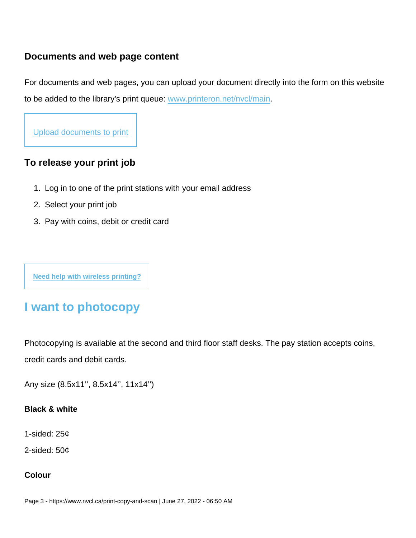### Documents and web page content

For documents and web pages, you can upload your document directly into the form on this website to be added to the library's print queue: [www.printeron.net/nvcl/main.](https://www.printeron.net/nvcl/main)

[Upload documents to print](https://www.printeron.net/nvcl/main)

To release your print job

- 1. Log in to one of the print stations with your email address
- 2. Select your print job
- 3. Pay with coins, debit or credit card

[Need help with wireless printing?](https://my.nicheacademy.com/nvcl/course/9591/lesson/29816)

# I want to photocopy

Photocopying is available at the second and third floor staff desks. The pay station accepts coins, credit cards and debit cards.

Any size (8.5x11'', 8.5x14'', 11x14'')

Black & white

1-sided: 25¢

2-sided: 50¢

Colour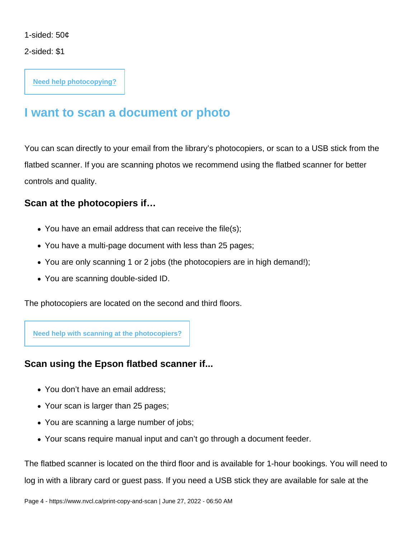1-sided: 50¢

2-sided: \$1

[Need help photocopying?](https://my.nicheacademy.com/nvcl/course/9591/lesson/29827)

# I want to scan a document or photo

You can scan directly to your email from the library's photocopiers, or scan to a USB stick from the flatbed scanner. If you are scanning photos we recommend using the flatbed scanner for better controls and quality.

Scan at the photocopiers if…

- You have an email address that can receive the file(s);
- You have a multi-page document with less than 25 pages;
- You are only scanning 1 or 2 jobs (the photocopiers are in high demand!);
- You are scanning double-sided ID.

The photocopiers are located on the second and third floors.

[Need help with scanning at the photocopiers?](https://my.nicheacademy.com/nvcl/course/9591/lesson/29827)

Scan using the Epson flatbed scanner if...

- You don't have an email address;
- Your scan is larger than 25 pages;
- You are scanning a large number of jobs;
- Your scans require manual input and can't go through a document feeder.

The flatbed scanner is located on the third floor and is available for 1-hour bookings. You will need to log in with a library card or guest pass. If you need a USB stick they are available for sale at the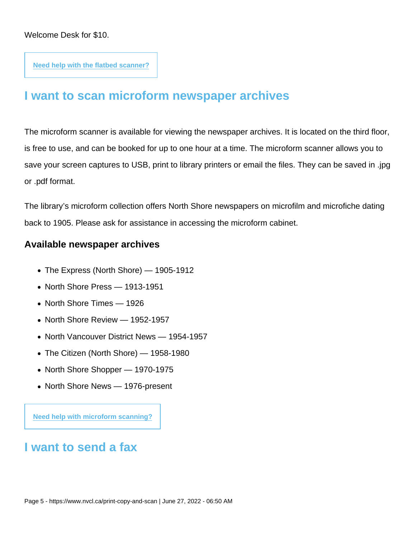[Need help with the flatbed scanner?](https://my.nicheacademy.com/nvcl/course/9591/lesson/29837)

# I want to scan microform newspaper archives

The microform scanner is available for viewing the newspaper archives. It is located on the third floor, is free to use, and can be booked for up to one hour at a time. The microform scanner allows you to save your screen captures to USB, print to library printers or email the files. They can be saved in .jpg or .pdf format.

The library's microform collection offers North Shore newspapers on microfilm and microfiche dating back to 1905. Please ask for assistance in accessing the microform cabinet.

### Available newspaper archives

- The Express (North Shore) 1905-1912
- North Shore Press 1913-1951
- North Shore Times 1926
- North Shore Review 1952-1957
- North Vancouver District News 1954-1957
- The Citizen (North Shore) 1958-1980
- North Shore Shopper 1970-1975
- North Shore News 1976-present

[Need help with microform scanning?](https://my.nicheacademy.com/nvcl/course/9607/lesson/29882)

# I want to send a fax